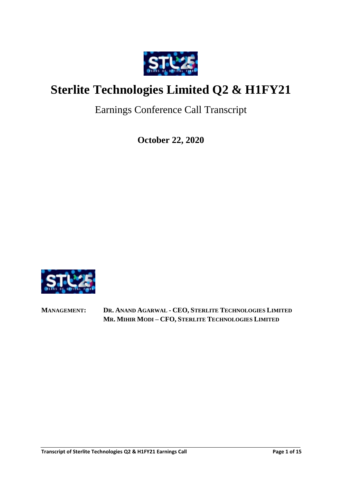

# **Sterlite Technologies Limited Q2 & H1FY21**

Earnings Conference Call Transcript

**October 22, 2020**



**MANAGEMENT: DR. ANAND AGARWAL - CEO, STERLITE TECHNOLOGIES LIMITED MR. MIHIR MODI – CFO, STERLITE TECHNOLOGIES LIMITED**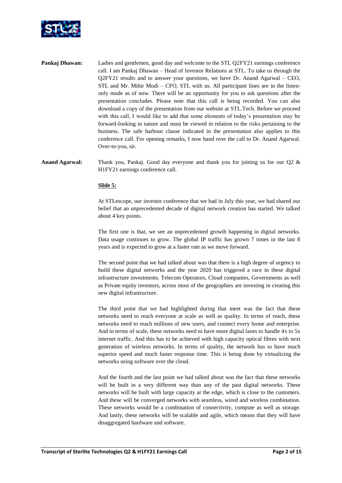

- **Pankaj Dhawan:** Ladies and gentlemen, good day and welcome to the STL Q2FY21 earnings conference call. I am Pankaj Dhawan – Head of Investor Relations at STL. To take us through the Q2FY21 results and to answer your questions, we have Dr. Anand Agarwal – CEO, STL and Mr. Mihir Modi – CFO, STL with us. All participant lines are in the listenonly mode as of now. There will be an opportunity for you to ask questions after the presentation concludes. Please note that this call is being recorded. You can also download a copy of the presentation from our website at STL.Tech. Before we proceed with this call, I would like to add that some elements of today's presentation may be forward-looking in nature and must be viewed in relation to the risks pertaining to the business. The safe harbour clause indicated in the presentation also applies to this conference call. For opening remarks, I now hand over the call to Dr. Anand Agarwal. Over-to-you, sir.
- **Anand Agarwal:** Thank you, Pankaj. Good day everyone and thank you for joining us for our Q2 & H1FY21 earnings conference call.

## **Slide 5:**

At STLescope, our investor conference that we had in July this year, we had shared our belief that an unprecedented decade of digital network creation has started. We talked about 4 key points.

The first one is that, we see an unprecedented growth happening in digital networks. Data usage continues to grow. The global IP traffic has grown 7 times in the last 8 years and is expected to grow at a faster rate as we move forward.

The second point that we had talked about was that there is a high degree of urgency to build these digital networks and the year 2020 has triggered a race in these digital infrastructure investments. Telecom Operators, Cloud companies, Governments as well as Private equity investors, across most of the geographies are investing in creating this new digital infrastructure.

The third point that we had highlighted during that meet was the fact that these networks need to reach everyone at scale as well as quality. In terms of reach, these networks need to reach millions of new users, and connect every home and enterprise. And in terms of scale, these networks need to have more digital lanes to handle 4x to 5x internet traffic. And this has to be achieved with high capacity optical fibres with next generation of wireless networks. In terms of quality, the network has to have much superior speed and much faster response time. This is being done by virtualizing the networks using software over the cloud.

And the fourth and the last point we had talked about was the fact that these networks will be built in a very different way than any of the past digital networks. These networks will be built with large capacity at the edge, which is close to the customers. And these will be converged networks with seamless, wired and wireless combination. These networks would be a combination of connectivity, compute as well as storage. And lastly, these networks will be scalable and agile, which means that they will have disaggregated hardware and software.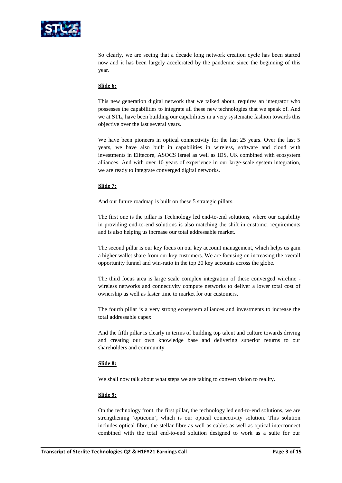

So clearly, we are seeing that a decade long network creation cycle has been started now and it has been largely accelerated by the pandemic since the beginning of this year.

## **Slide 6:**

This new generation digital network that we talked about, requires an integrator who possesses the capabilities to integrate all these new technologies that we speak of. And we at STL, have been building our capabilities in a very systematic fashion towards this objective over the last several years.

We have been pioneers in optical connectivity for the last 25 years. Over the last 5 years, we have also built in capabilities in wireless, software and cloud with investments in Elitecore, ASOCS Israel as well as IDS, UK combined with ecosystem alliances. And with over 10 years of experience in our large-scale system integration, we are ready to integrate converged digital networks.

#### **Slide 7:**

And our future roadmap is built on these 5 strategic pillars.

The first one is the pillar is Technology led end-to-end solutions, where our capability in providing end-to-end solutions is also matching the shift in customer requirements and is also helping us increase our total addressable market.

The second pillar is our key focus on our key account management, which helps us gain a higher wallet share from our key customers. We are focusing on increasing the overall opportunity funnel and win-ratio in the top 20 key accounts across the globe.

The third focus area is large scale complex integration of these converged wireline wireless networks and connectivity compute networks to deliver a lower total cost of ownership as well as faster time to market for our customers.

The fourth pillar is a very strong ecosystem alliances and investments to increase the total addressable capex.

And the fifth pillar is clearly in terms of building top talent and culture towards driving and creating our own knowledge base and delivering superior returns to our shareholders and community.

#### **Slide 8:**

We shall now talk about what steps we are taking to convert vision to reality.

#### **Slide 9:**

On the technology front, the first pillar, the technology led end-to-end solutions, we are strengthening 'opticonn', which is our optical connectivity solution. This solution includes optical fibre, the stellar fibre as well as cables as well as optical interconnect combined with the total end-to-end solution designed to work as a suite for our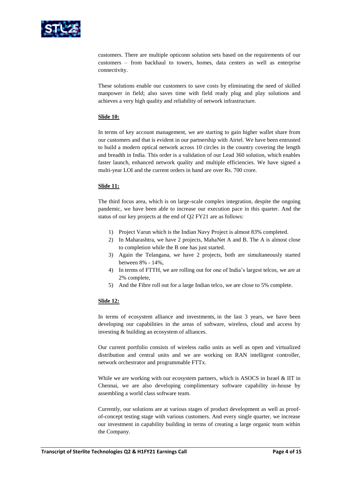

customers. There are multiple opticonn solution sets based on the requirements of our customers – from backhaul to towers, homes, data centers as well as enterprise connectivity.

These solutions enable our customers to save costs by eliminating the need of skilled manpower in field; also saves time with field ready plug and play solutions and achieves a very high quality and reliability of network infrastructure.

# **Slide 10:**

In terms of key account management, we are starting to gain higher wallet share from our customers and that is evident in our partnership with Airtel. We have been entrusted to build a modern optical network across 10 circles in the country covering the length and breadth in India. This order is a validation of our Lead 360 solution, which enables faster launch, enhanced network quality and multiple efficiencies. We have signed a multi-year LOI and the current orders in hand are over Rs. 700 crore.

# **Slide 11:**

The third focus area, which is on large-scale complex integration, despite the ongoing pandemic, we have been able to increase our execution pace in this quarter. And the status of our key projects at the end of Q2 FY21 are as follows:

- 1) Project Varun which is the Indian Navy Project is almost 83% completed.
- 2) In Maharashtra, we have 2 projects, MahaNet A and B. The A is almost close to completion while the B one has just started.
- 3) Again the Telangana, we have 2 projects, both are simultaneously started between 8% - 14%,
- 4) In terms of FTTH, we are rolling out for one of India's largest telcos, we are at 2% complete,
- 5) And the Fibre roll out for a large Indian telco, we are close to 5% complete.

# **Slide 12:**

In terms of ecosystem alliance and investments, in the last 3 years, we have been developing our capabilities in the areas of software, wireless, cloud and access by investing & building an ecosystem of alliances.

Our current portfolio consists of wireless radio units as well as open and virtualized distribution and central units and we are working on RAN intelligent controller, network orchestrator and programmable FTTx.

While we are working with our ecosystem partners, which is ASOCS in Israel & IIT in Chennai, we are also developing complimentary software capability in-house by assembling a world class software team.

Currently, our solutions are at various stages of product development as well as proofof-concept testing stage with various customers. And every single quarter, we increase our investment in capability building in terms of creating a large organic team within the Company.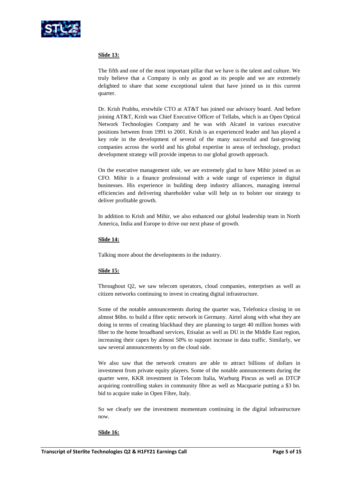

# **Slide 13:**

The fifth and one of the most important pillar that we have is the talent and culture. We truly believe that a Company is only as good as its people and we are extremely delighted to share that some exceptional talent that have joined us in this current quarter.

Dr. Krish Prabhu, erstwhile CTO at AT&T has joined our advisory board. And before joining AT&T, Krish was Chief Executive Officer of Tellabs, which is an Open Optical Network Technologies Company and he was with Alcatel in various executive positions between from 1991 to 2001. Krish is an experienced leader and has played a key role in the development of several of the many successful and fast-growing companies across the world and his global expertise in areas of technology, product development strategy will provide impetus to our global growth approach.

On the executive management side, we are extremely glad to have Mihir joined us as CFO. Mihir is a finance professional with a wide range of experience in digital businesses. His experience in building deep industry alliances, managing internal efficiencies and delivering shareholder value will help us to bolster our strategy to deliver profitable growth.

In addition to Krish and Mihir, we also enhanced our global leadership team in North America, India and Europe to drive our next phase of growth.

## **Slide 14:**

Talking more about the developments in the industry.

## **Slide 15:**

Throughout Q2, we saw telecom operators, cloud companies, enterprises as well as citizen networks continuing to invest in creating digital infrastructure.

Some of the notable announcements during the quarter was, Telefonica closing in on almost \$6bn. to build a fibre optic network in Germany. Airtel along with what they are doing in terms of creating blackhaul they are planning to target 40 million homes with fiber to the home broadband services, Etisalat as well as DU in the Middle East region, increasing their capex by almost 50% to support increase in data traffic. Similarly, we saw several announcements by on the cloud side.

We also saw that the network creators are able to attract billions of dollars in investment from private equity players. Some of the notable announcements during the quarter were, KKR investment in Telecom Italia, Warburg Pincus as well as DTCP acquiring controlling stakes in community fibre as well as Macquarie putting a \$3 bn. bid to acquire stake in Open Fibre, Italy.

So we clearly see the investment momentum continuing in the digital infrastructure now.

#### **Slide 16:**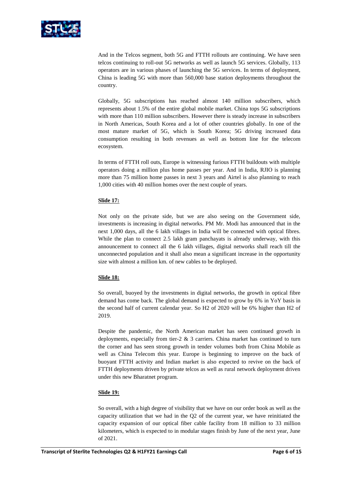

And in the Telcos segment, both 5G and FTTH rollouts are continuing. We have seen telcos continuing to roll-out 5G networks as well as launch 5G services. Globally, 113 operators are in various phases of launching the 5G services. In terms of deployment, China is leading 5G with more than 560,000 base station deployments throughout the country.

Globally, 5G subscriptions has reached almost 140 million subscribers, which represents about 1.5% of the entire global mobile market. China tops 5G subscriptions with more than 110 million subscribers. However there is steady increase in subscribers in North Americas, South Korea and a lot of other countries globally. In one of the most mature market of 5G, which is South Korea; 5G driving increased data consumption resulting in both revenues as well as bottom line for the telecom ecosystem.

In terms of FTTH roll outs, Europe is witnessing furious FTTH buildouts with multiple operators doing a million plus home passes per year. And in India, RJIO is planning more than 75 million home passes in next 3 years and Airtel is also planning to reach 1,000 cities with 40 million homes over the next couple of years.

# **Slide 17:**

Not only on the private side, but we are also seeing on the Government side, investments is increasing in digital networks. PM Mr. Modi has announced that in the next 1,000 days, all the 6 lakh villages in India will be connected with optical fibres. While the plan to connect 2.5 lakh gram panchayats is already underway, with this announcement to connect all the 6 lakh villages, digital networks shall reach till the unconnected population and it shall also mean a significant increase in the opportunity size with almost a million km. of new cables to be deployed.

## **Slide 18:**

So overall, buoyed by the investments in digital networks, the growth in optical fibre demand has come back. The global demand is expected to grow by 6% in YoY basis in the second half of current calendar year. So H2 of 2020 will be 6% higher than H2 of 2019.

Despite the pandemic, the North American market has seen continued growth in deployments, especially from tier-2 & 3 carriers. China market has continued to turn the corner and has seen strong growth in tender volumes both from China Mobile as well as China Telecom this year. Europe is beginning to improve on the back of buoyant FTTH activity and Indian market is also expected to revive on the back of FTTH deployments driven by private telcos as well as rural network deployment driven under this new Bharatnet program.

## **Slide 19:**

So overall, with a high degree of visibility that we have on our order book as well as the capacity utilization that we had in the Q2 of the current year, we have reinitiated the capacity expansion of our optical fiber cable facility from 18 million to 33 million kilometers, which is expected to in modular stages finish by June of the next year, June of 2021.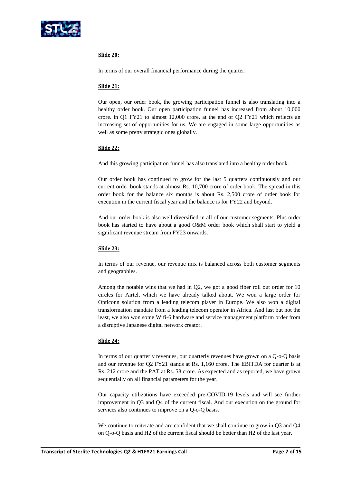

# **Slide 20:**

In terms of our overall financial performance during the quarter.

#### **Slide 21:**

Our open, our order book, the growing participation funnel is also translating into a healthy order book. Our open participation funnel has increased from about 10,000 crore. in Q1 FY21 to almost 12,000 crore. at the end of Q2 FY21 which reflects an increasing set of opportunities for us. We are engaged in some large opportunities as well as some pretty strategic ones globally.

## **Slide 22:**

And this growing participation funnel has also translated into a healthy order book.

Our order book has continued to grow for the last 5 quarters continuously and our current order book stands at almost Rs. 10,700 crore of order book. The spread in this order book for the balance six months is about Rs. 2,500 crore of order book for execution in the current fiscal year and the balance is for FY22 and beyond.

And our order book is also well diversified in all of our customer segments. Plus order book has started to have about a good O&M order book which shall start to yield a significant revenue stream from FY23 onwards.

## **Slide 23:**

In terms of our revenue, our revenue mix is balanced across both customer segments and geographies.

Among the notable wins that we had in Q2, we got a good fiber roll out order for 10 circles for Airtel, which we have already talked about. We won a large order for Opticonn solution from a leading telecom player in Europe. We also won a digital transformation mandate from a leading telecom operator in Africa. And last but not the least, we also won some Wifi-6 hardware and service management platform order from a disruptive Japanese digital network creator.

## **Slide 24:**

In terms of our quarterly revenues, our quarterly revenues have grown on a Q-o-Q basis and our revenue for Q2 FY21 stands at Rs. 1,160 crore. The EBITDA for quarter is at Rs. 212 crore and the PAT at Rs. 58 crore. As expected and as reported, we have grown sequentially on all financial parameters for the year.

Our capacity utilizations have exceeded pre-COVID-19 levels and will see further improvement in Q3 and Q4 of the current fiscal. And our execution on the ground for services also continues to improve on a Q-o-Q basis.

We continue to reiterate and are confident that we shall continue to grow in Q3 and Q4 on Q-o-Q basis and H2 of the current fiscal should be better than H2 of the last year.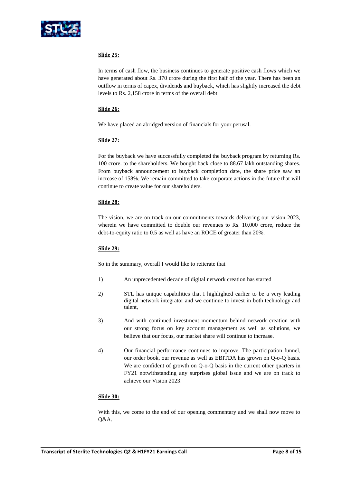

# **Slide 25:**

In terms of cash flow, the business continues to generate positive cash flows which we have generated about Rs. 370 crore during the first half of the year. There has been an outflow in terms of capex, dividends and buyback, which has slightly increased the debt levels to Rs. 2,158 crore in terms of the overall debt.

## **Slide 26:**

We have placed an abridged version of financials for your perusal.

# **Slide 27:**

For the buyback we have successfully completed the buyback program by returning Rs. 100 crore. to the shareholders. We bought back close to 88.67 lakh outstanding shares. From buyback announcement to buyback completion date, the share price saw an increase of 158%. We remain committed to take corporate actions in the future that will continue to create value for our shareholders.

# **Slide 28:**

The vision, we are on track on our commitments towards delivering our vision 2023, wherein we have committed to double our revenues to Rs. 10,000 crore, reduce the debt-to-equity ratio to 0.5 as well as have an ROCE of greater than 20%.

## **Slide 29:**

So in the summary, overall I would like to reiterate that

- 1) An unprecedented decade of digital network creation has started
- 2) STL has unique capabilities that I highlighted earlier to be a very leading digital network integrator and we continue to invest in both technology and talent,
- 3) And with continued investment momentum behind network creation with our strong focus on key account management as well as solutions, we believe that our focus, our market share will continue to increase.
- 4) Our financial performance continues to improve. The participation funnel, our order book, our revenue as well as EBITDA has grown on Q-o-Q basis. We are confident of growth on Q-o-Q basis in the current other quarters in FY21 notwithstanding any surprises global issue and we are on track to achieve our Vision 2023.

## **Slide 30:**

With this, we come to the end of our opening commentary and we shall now move to Q&A.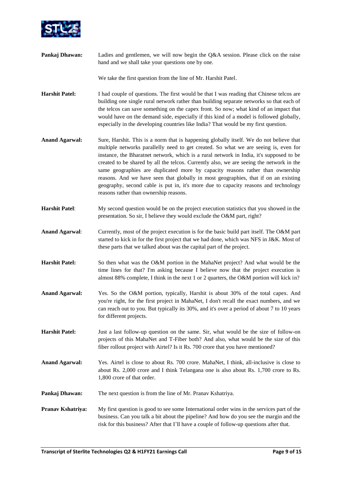

**Pankaj Dhawan:** Ladies and gentlemen, we will now begin the Q&A session. Please click on the raise hand and we shall take your questions one by one.

We take the first question from the line of Mr. Harshit Patel.

- **Harshit Patel:** I had couple of questions. The first would be that I was reading that Chinese telcos are building one single rural network rather than building separate networks so that each of the telcos can save something on the capex front. So now; what kind of an impact that would have on the demand side, especially if this kind of a model is followed globally, especially in the developing countries like India? That would be my first question.
- **Anand Agarwal:** Sure, Harshit. This is a norm that is happening globally itself. We do not believe that multiple networks parallelly need to get created. So what we are seeing is, even for instance, the Bharatnet network, which is a rural network in India, it's supposed to be created to be shared by all the telcos. Currently also, we are seeing the network in the same geographies are duplicated more by capacity reasons rather than ownership reasons. And we have seen that globally in most geographies, that if on an existing geography, second cable is put in, it's more due to capacity reasons and technology reasons rather than ownership reasons.
- **Harshit Patel**: My second question would be on the project execution statistics that you showed in the presentation. So sir, I believe they would exclude the O&M part, right?
- **Anand Agarwal**: Currently, most of the project execution is for the basic build part itself. The O&M part started to kick in for the first project that we had done, which was NFS in J&K. Most of these parts that we talked about was the capital part of the project.
- **Harshit Patel:** So then what was the O&M portion in the MahaNet project? And what would be the time lines for that? I'm asking because I believe now that the project execution is almost 88% complete, I think in the next 1 or 2 quarters, the O&M portion will kick in?
- **Anand Agarwal:** Yes. So the O&M portion, typically, Harshit is about 30% of the total capex. And you're right, for the first project in MahaNet, I don't recall the exact numbers, and we can reach out to you. But typically its 30%, and it's over a period of about 7 to 10 years for different projects.
- **Harshit Patel:** Just a last follow-up question on the same. Sir, what would be the size of follow-on projects of this MahaNet and T-Fiber both? And also, what would be the size of this fiber rollout project with Airtel? Is it Rs. 700 crore that you have mentioned?
- **Anand Agarwal:** Yes. Airtel is close to about Rs. 700 crore. MahaNet, I think, all-inclusive is close to about Rs. 2,000 crore and I think Telangana one is also about Rs. 1,700 crore to Rs. 1,800 crore of that order.
- **Pankaj Dhawan:** The next question is from the line of Mr. Pranav Kshatriya.
- **Pranav Kshatriya:** My first question is good to see some International order wins in the services part of the business. Can you talk a bit about the pipeline? And how do you see the margin and the risk for this business? After that I'll have a couple of follow-up questions after that.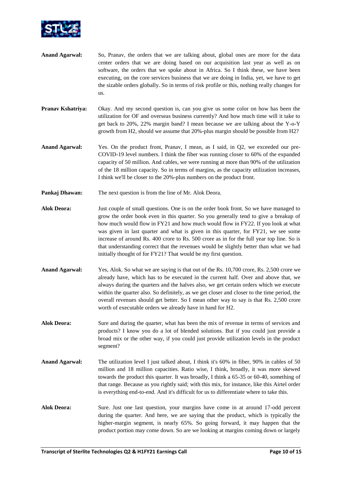

- **Anand Agarwal:** So, Pranav, the orders that we are talking about, global ones are more for the data center orders that we are doing based on our acquisition last year as well as on software, the orders that we spoke about in Africa. So I think these, we have been executing, on the core services business that we are doing in India, yet, we have to get the sizable orders globally. So in terms of risk profile or this, nothing really changes for us.
- **Pranav Kshatriya:** Okay. And my second question is, can you give us some color on how has been the utilization for OF and overseas business currently? And how much time will it take to get back to 20%, 22% margin band? I mean because we are talking about the Y-o-Y growth from H2, should we assume that 20%-plus margin should be possible from H2?
- **Anand Agarwal:** Yes. On the product front, Pranav, I mean, as I said, in Q2, we exceeded our pre-COVID-19 level numbers. I think the fiber was running closer to 60% of the expanded capacity of 50 million. And cables, we were running at more than 90% of the utilization of the 18 million capacity. So in terms of margins, as the capacity utilization increases, I think we'll be closer to the 20%-plus numbers on the product front.
- **Pankaj Dhawan:** The next question is from the line of Mr. Alok Deora.
- **Alok Deora:** Just couple of small questions. One is on the order book front. So we have managed to grow the order book even in this quarter. So you generally tend to give a breakup of how much would flow in FY21 and how much would flow in FY22. If you look at what was given in last quarter and what is given in this quarter, for FY21, we see some increase of around Rs. 400 crore to Rs. 500 crore as in for the full year top line. So is that understanding correct that the revenues would be slightly better than what we had initially thought of for FY21? That would be my first question.
- **Anand Agarwal:** Yes, Alok. So what we are saying is that out of the Rs. 10,700 crore, Rs. 2,500 crore we already have, which has to be executed in the current half. Over and above that, we always during the quarters and the halves also, we get certain orders which we execute within the quarter also. So definitely, as we get closer and closer to the time period, the overall revenues should get better. So I mean other way to say is that Rs. 2,500 crore worth of executable orders we already have in hand for H2.
- **Alok Deora:** Sure and during the quarter, what has been the mix of revenue in terms of services and products? I know you do a lot of blended solutions. But if you could just provide a broad mix or the other way, if you could just provide utilization levels in the product segment?
- **Anand Agarwal:** The utilization level I just talked about, I think it's 60% in fiber, 90% in cables of 50 million and 18 million capacities. Ratio wise, I think, broadly, it was more skewed towards the product this quarter. It was broadly, I think a 65-35 or 60-40, something of that range. Because as you rightly said; with this mix, for instance, like this Airtel order is everything end-to-end. And it's difficult for us to differentiate where to take this.
- **Alok Deora:** Sure. Just one last question, your margins have come in at around 17-odd percent during the quarter. And here, we are saying that the product, which is typically the higher-margin segment, is nearly 65%. So going forward, it may happen that the product portion may come down. So are we looking at margins coming down or largely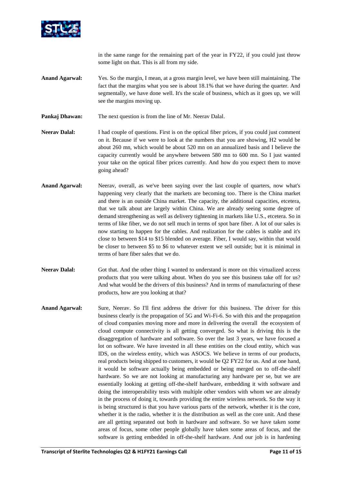

in the same range for the remaining part of the year in FY22, if you could just throw some light on that. This is all from my side.

- **Anand Agarwal:** Yes. So the margin, I mean, at a gross margin level, we have been still maintaining. The fact that the margins what you see is about 18.1% that we have during the quarter. And segmentally, we have done well. It's the scale of business, which as it goes up, we will see the margins moving up.
- **Pankaj Dhawan:** The next question is from the line of Mr. Neerav Dalal.
- **Neerav Dalal:** I had couple of questions. First is on the optical fiber prices, if you could just comment on it. Because if we were to look at the numbers that you are showing, H2 would be about 260 mn, which would be about 520 mn on an annualized basis and I believe the capacity currently would be anywhere between 580 mn to 600 mn. So I just wanted your take on the optical fiber prices currently. And how do you expect them to move going ahead?
- **Anand Agarwal:** Neerav, overall, as we've been saying over the last couple of quarters, now what's happening very clearly that the markets are becoming too. There is the China market and there is an outside China market. The capacity, the additional capacities, etcetera, that we talk about are largely within China. We are already seeing some degree of demand strengthening as well as delivery tightening in markets like U.S., etcetera. So in terms of like fiber, we do not sell much in terms of spot bare fiber. A lot of our sales is now starting to happen for the cables. And realization for the cables is stable and it's close to between \$14 to \$15 blended on average. Fiber, I would say, within that would be closer to between \$5 to \$6 to whatever extent we sell outside; but it is minimal in terms of bare fiber sales that we do.
- **Neerav Dalal:** Got that. And the other thing I wanted to understand is more on this virtualized access products that you were talking about. When do you see this business take off for us? And what would be the drivers of this business? And in terms of manufacturing of these products, how are you looking at that?
- **Anand Agarwal:** Sure, Neerav. So I'll first address the driver for this business. The driver for this business clearly is the propagation of 5G and Wi-Fi-6. So with this and the propagation of cloud companies moving more and more in delivering the overall the ecosystem of cloud compute connectivity is all getting converged. So what is driving this is the disaggregation of hardware and software. So over the last 3 years, we have focused a lot on software. We have invested in all these entities on the cloud entity, which was IDS, on the wireless entity, which was ASOCS. We believe in terms of our products, real products being shipped to customers, it would be Q2 FY22 for us. And at one hand, it would be software actually being embedded or being merged on to off-the-shelf hardware. So we are not looking at manufacturing any hardware per se, but we are essentially looking at getting off-the-shelf hardware, embedding it with software and doing the interoperability tests with multiple other vendors with whom we are already in the process of doing it, towards providing the entire wireless network. So the way it is being structured is that you have various parts of the network, whether it is the core, whether it is the radio, whether it is the distribution as well as the core unit. And these are all getting separated out both in hardware and software. So we have taken some areas of focus, some other people globally have taken some areas of focus, and the software is getting embedded in off-the-shelf hardware. And our job is in hardening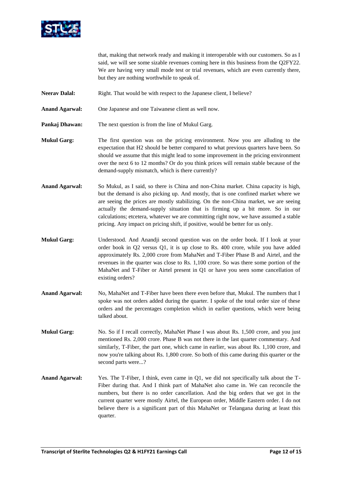

that, making that network ready and making it interoperable with our customers. So as I said, we will see some sizable revenues coming here in this business from the Q2FY22. We are having very small mode test or trial revenues, which are even currently there, but they are nothing worthwhile to speak of.

- **Neerav Dalal:** Right. That would be with respect to the Japanese client, I believe?
- **Anand Agarwal:** One Japanese and one Taiwanese client as well now.
- **Pankaj Dhawan:** The next question is from the line of Mukul Garg.
- **Mukul Garg:** The first question was on the pricing environment. Now you are alluding to the expectation that H2 should be better compared to what previous quarters have been. So should we assume that this might lead to some improvement in the pricing environment over the next 6 to 12 months? Or do you think prices will remain stable because of the demand-supply mismatch, which is there currently?
- **Anand Agarwal:** So Mukul, as I said, so there is China and non-China market. China capacity is high, but the demand is also picking up. And mostly, that is one confined market where we are seeing the prices are mostly stabilizing. On the non-China market, we are seeing actually the demand-supply situation that is firming up a bit more. So in our calculations; etcetera, whatever we are committing right now, we have assumed a stable pricing. Any impact on pricing shift, if positive, would be better for us only.
- **Mukul Garg:** Understood. And Anandji second question was on the order book. If I look at your order book in Q2 versus Q1, it is up close to Rs. 400 crore, while you have added approximately Rs. 2,000 crore from MahaNet and T-Fiber Phase B and Airtel, and the revenues in the quarter was close to Rs. 1,100 crore. So was there some portion of the MahaNet and T-Fiber or Airtel present in Q1 or have you seen some cancellation of existing orders?
- **Anand Agarwal:** No, MahaNet and T-Fiber have been there even before that, Mukul. The numbers that I spoke was not orders added during the quarter. I spoke of the total order size of these orders and the percentages completion which in earlier questions, which were being talked about.
- **Mukul Garg:** No. So if I recall correctly, MahaNet Phase I was about Rs. 1,500 crore, and you just mentioned Rs. 2,000 crore. Phase B was not there in the last quarter commentary. And similarly, T-Fiber, the part one, which came in earlier, was about Rs. 1,100 crore, and now you're talking about Rs. 1,800 crore. So both of this came during this quarter or the second parts were...?
- **Anand Agarwal:** Yes. The T-Fiber, I think, even came in Q1, we did not specifically talk about the T-Fiber during that. And I think part of MahaNet also came in. We can reconcile the numbers, but there is no order cancellation. And the big orders that we got in the current quarter were mostly Airtel, the European order, Middle Eastern order. I do not believe there is a significant part of this MahaNet or Telangana during at least this quarter.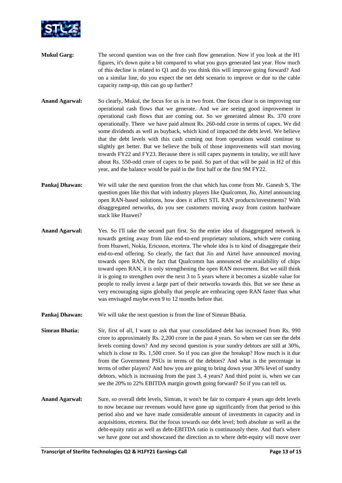

- **Mukul Garg:** The second question was on the free cash flow generation. Now if you look at the H1 figures, it's down quite a bit compared to what you guys generated last year. How much of this decline is related to Q1 and do you think this will improve going forward? And on a similar line, do you expect the net debt scenario to improve or due to the cable capacity ramp-up, this can go up further?
- **Anand Agarwal:** So clearly, Mukul, the focus for us is in two front. One focus clear is on improving our operational cash flows that we generate. And we are seeing good improvement in operational cash flows that are coming out. So we generated almost Rs. 370 crore operationally. There we have paid almost Rs. 260-odd crore in terms of capex. We did some dividends as well as buyback, which kind of impacted the debt level. We believe that the debt levels with this cash coming out from operations would continue to slightly get better. But we believe the bulk of those improvements will start moving towards FY22 and FY23. Because there is still capex payments in totality, we still have about Rs. 550-odd crore of capex to be paid. So part of that will be paid in H2 of this year, and the balance would be paid in the first half or the first 9M FY22.
- **Pankaj Dhawan:** We will take the next question from the chat which has come from Mr. Ganesh S. The question goes like this that with industry players like Qualcomm, Jio, Airtel announcing open RAN-based solutions, how does it affect STL RAN products/investments? With disaggregated networks, do you see customers moving away from custom hardware stack like Huawei?
- **Anand Agarwal:** Yes. So I'll take the second part first. So the entire idea of disaggregated network is towards getting away from like end-to-end proprietary solutions, which were coming from Huawei, Nokia, Ericsson, etcetera. The whole idea is to kind of disaggregate their end-to-end offering. So clearly, the fact that Jio and Airtel have announced moving towards open RAN, the fact that Qualcomm has announced the availability of chips toward open RAN, it is only strengthening the open RAN movement. But we still think it is going to strengthen over the next 3 to 5 years where it becomes a sizable value for people to really invest a large part of their networks towards this. But we see these as very encouraging signs globally that people are embracing open RAN faster than what was envisaged maybe even 9 to 12 months before that.
- **Pankaj Dhawan:** We will take the next question is from the line of Simran Bhatia.
- **Simran Bhatia:** Sir, first of all, I want to ask that your consolidated debt has increased from Rs. 990 crore to approximately Rs. 2,200 crore in the past 4 years. So when we can see the debt levels coming down? And my second question is your sundry debtors are still at 30%, which is close to Rs. 1,500 crore. So if you can give the breakup? How much is it due from the Government PSUs in terms of the debtors? And what is the percentage in terms of other players? And how you are going to bring down your 30% level of sundry debtors, which is increasing from the past 3, 4 years? And third point is, when we can see the 20% to 22% EBITDA margin growth going forward? So if you can tell us.
- **Anand Agarwal:** Sure, so overall debt levels, Simran, it won't be fair to compare 4 years ago debt levels to now because our revenues would have gone up significantly from that period to this period also and we have made considerable amount of investments in capacity and in acquisitions, etcetera. But the focus towards our debt level; both absolute as well as the debt-equity ratio as well as debt-EBITDA ratio is continuously there. And that's where we have gone out and showcased the direction as to where debt-equity will move over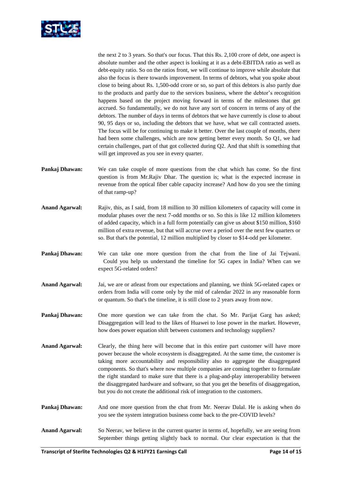

the next 2 to 3 years. So that's our focus. That this Rs. 2,100 crore of debt, one aspect is absolute number and the other aspect is looking at it as a debt-EBITDA ratio as well as debt-equity ratio. So on the ratios front, we will continue to improve while absolute that also the focus is there towards improvement. In terms of debtors, what you spoke about close to being about Rs. 1,500-odd crore or so, so part of this debtors is also partly due to the products and partly due to the services business, where the debtor's recognition happens based on the project moving forward in terms of the milestones that get accrued. So fundamentally, we do not have any sort of concern in terms of any of the debtors. The number of days in terms of debtors that we have currently is close to about 90, 95 days or so, including the debtors that we have, what we call contracted assets. The focus will be for continuing to make it better. Over the last couple of months, there had been some challenges, which are now getting better every month. So Q1, we had certain challenges, part of that got collected during Q2. And that shift is something that will get improved as you see in every quarter.

- **Pankaj Dhawan:** We can take couple of more questions from the chat which has come. So the first question is from Mr.Rajiv Dhar. The question is; what is the expected increase in revenue from the optical fiber cable capacity increase? And how do you see the timing of that ramp-up?
- **Anand Agarwal:** Rajiv, this, as I said, from 18 million to 30 million kilometers of capacity will come in modular phases over the next 7-odd months or so. So this is like 12 million kilometers of added capacity, which in a full form potentially can give us about \$150 million, \$160 million of extra revenue, but that will accrue over a period over the next few quarters or so. But that's the potential, 12 million multiplied by closer to \$14-odd per kilometer.
- **Pankaj Dhawan:** We can take one more question from the chat from the line of Jai Tejwani. Could you help us understand the timeline for 5G capex in India? When can we expect 5G-related orders?
- **Anand Agarwal:** Jai, we are or atleast from our expectations and planning, we think 5G-related capex or orders from India will come only by the mid of calendar 2022 in any reasonable form or quantum. So that's the timeline, it is still close to 2 years away from now.
- **Pankaj Dhawan:** One more question we can take from the chat. So Mr. Parijat Garg has asked; Disaggregation will lead to the likes of Huawei to lose power in the market. However, how does power equation shift between customers and technology suppliers?
- **Anand Agarwal:** Clearly, the thing here will become that in this entire part customer will have more power because the whole ecosystem is disaggregated. At the same time, the customer is taking more accountability and responsibility also to aggregate the disaggregated components. So that's where now multiple companies are coming together to formulate the right standard to make sure that there is a plug-and-play interoperability between the disaggregated hardware and software, so that you get the benefits of disaggregation, but you do not create the additional risk of integration to the customers.
- **Pankaj Dhawan:** And one more question from the chat from Mr. Neerav Dalal. He is asking when do you see the system integration business come back to the pre-COVID levels?
- Anand Agarwal: So Neerav, we believe in the current quarter in terms of, hopefully, we are seeing from September things getting slightly back to normal. Our clear expectation is that the